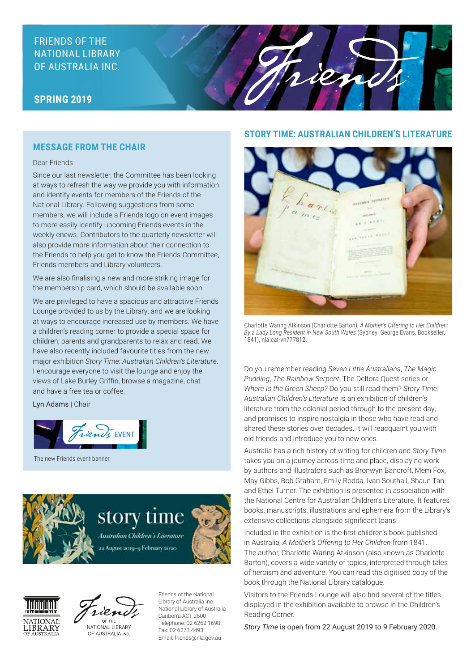## FRIENDS OF THE NATIONAL LIBRARY OF AUSTRALIA INC.

## **SPRING 2019**

### **MESSAGE FROM THE CHAIR**

#### Dear Friends

Since our last newsletter, the Committee has been looking at ways to refresh the way we provide you with information and identify events for members of the Friends of the National Library. Following suggestions from some members, we will include a Friends logo on event images to more easily identify upcoming Friends events in the weekly enews. Contributors to the quarterly newsletter will also provide more information about their connection to the Friends to help you get to know the Friends Committee, Friends members and Library volunteers.

We are also finalising a new and more striking image for the membership card, which should be available soon.

We are privileged to have a spacious and attractive Friends Lounge provided to us by the Library, and we are looking at ways to encourage increased use by members. We have a children's reading corner to provide a special space for children, parents and grandparents to relax and read. We have also recently included favourite titles from the new major exhibition *Story Time: Australian Children's Literature*. I encourage everyone to visit the lounge and enjoy the views of Lake Burley Griffin, browse a magazine, chat and have a free tea or coffee.

Lyn Adams | Chair



The new Friends event banner.







NATIONAL LIBRARY OF AUSTRALIA INC.

Friends of the National Library of Australia Inc. National Library of Australia Canberra ACT 2600 Telephone: 02 6262 1698 Fax: 02 6273 4493 Email: friends@nla.gov.au

#### **STORY TIME: AUSTRALIAN CHILDREN'S LITERATURE**

rien



Charlotte Waring Atkinson (Charlotte Barton), *A Mother's Offering to Her Children: By a Lady Long Resident in New South Wales* (Sydney: George Evans, Bookseller, 1841), nla.cat-vn777812.

Do you remember reading *Seven Little Australians*, *The Magic Pudding*, *The Rainbow Serpent*, The Deltora Quest series or *Where Is the Green Sheep?* Do you still read them? *Story Time: Australian Children's Literature* is an exhibition of children's literature from the colonial period through to the present day, and promises to inspire nostalgia in those who have read and shared these stories over decades. It will reacquaint you with old friends and introduce you to new ones.

Australia has a rich history of writing for children and *Story Time* takes you on a journey across time and place, displaying work by authors and illustrators such as Bronwyn Bancroft, Mem Fox, May Gibbs, Bob Graham, Emily Rodda, Ivan Southall, Shaun Tan and Ethel Turner. The exhibition is presented in association with the National Centre for Australian Children's Literature. It features books, manuscripts, illustrations and ephemera from the Library's extensive collections alongside significant loans.

Included in the exhibition is the first children's book published in Australia, *A Mother's Offering to Her Children* from 1841. The author, Charlotte Waring Atkinson (also known as Charlotte Barton), covers a wide variety of topics, interpreted through tales of heroism and adventure. You can read the digitised copy of the book through the National Library catalogue.

Visitors to the Friends Lounge will also find several of the titles displayed in the exhibition available to browse in the Children's Reading Corner.

*Story Time* is open from 22 August 2019 to 9 February 2020.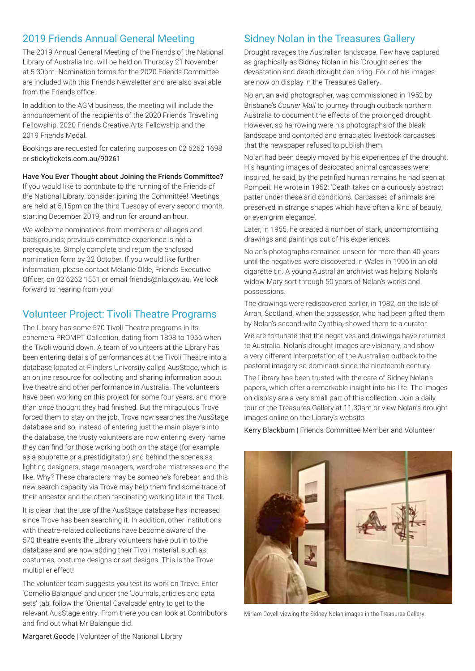## 2019 Friends Annual General Meeting

The 2019 Annual General Meeting of the Friends of the National Library of Australia Inc. will be held on Thursday 21 November at 5.30pm. Nomination forms for the 2020 Friends Committee are included with this Friends Newsletter and are also available from the Friends office.

In addition to the AGM business, the meeting will include the announcement of the recipients of the 2020 Friends Travelling Fellowship, 2020 Friends Creative Arts Fellowship and the 2019 Friends Medal.

Bookings are requested for catering purposes on 02 6262 1698 or stickytickets.com.au/90261

#### Have You Ever Thought about Joining the Friends Committee?

If you would like to contribute to the running of the Friends of the National Library, consider joining the Committee! Meetings are held at 5.15pm on the third Tuesday of every second month, starting December 2019, and run for around an hour.

We welcome nominations from members of all ages and backgrounds; previous committee experience is not a prerequisite. Simply complete and return the enclosed nomination form by 22 October. If you would like further information, please contact Melanie Olde, Friends Executive Officer, on 02 6262 1551 or email friends@nla.gov.au. We look forward to hearing from you!

### Volunteer Project: Tivoli Theatre Programs

The Library has some 570 Tivoli Theatre programs in its ephemera PROMPT Collection, dating from 1898 to 1966 when the Tivoli wound down. A team of volunteers at the Library has been entering details of performances at the Tivoli Theatre into a database located at Flinders University called AusStage, which is an online resource for collecting and sharing information about live theatre and other performance in Australia. The volunteers have been working on this project for some four years, and more than once thought they had finished. But the miraculous Trove forced them to stay on the job. Trove now searches the AusStage database and so, instead of entering just the main players into the database, the trusty volunteers are now entering every name they can find for those working both on the stage (for example, as a soubrette or a prestidigitator) and behind the scenes as lighting designers, stage managers, wardrobe mistresses and the like. Why? These characters may be someone's forebear, and this new search capacity via Trove may help them find some trace of their ancestor and the often fascinating working life in the Tivoli.

It is clear that the use of the AusStage database has increased since Trove has been searching it. In addition, other institutions with theatre-related collections have become aware of the 570 theatre events the Library volunteers have put in to the database and are now adding their Tivoli material, such as costumes, costume designs or set designs. This is the Trove multiplier effect!

The volunteer team suggests you test its work on Trove. Enter 'Cornelio Balangue' and under the 'Journals, articles and data sets' tab, follow the 'Oriental Cavalcade' entry to get to the relevant AusStage entry. From there you can look at Contributors and find out what Mr Balangue did.

## Sidney Nolan in the Treasures Gallery

Drought ravages the Australian landscape. Few have captured as graphically as Sidney Nolan in his 'Drought series' the devastation and death drought can bring. Four of his images are now on display in the Treasures Gallery.

Nolan, an avid photographer, was commissioned in 1952 by Brisbane's *Courier Mail* to journey through outback northern Australia to document the effects of the prolonged drought. However, so harrowing were his photographs of the bleak landscape and contorted and emaciated livestock carcasses that the newspaper refused to publish them.

Nolan had been deeply moved by his experiences of the drought. His haunting images of desiccated animal carcasses were inspired, he said, by the petrified human remains he had seen at Pompeii. He wrote in 1952: 'Death takes on a curiously abstract patter under these arid conditions. Carcasses of animals are preserved in strange shapes which have often a kind of beauty, or even grim elegance'.

Later, in 1955, he created a number of stark, uncompromising drawings and paintings out of his experiences.

Nolan's photographs remained unseen for more than 40 years until the negatives were discovered in Wales in 1996 in an old cigarette tin. A young Australian archivist was helping Nolan's widow Mary sort through 50 years of Nolan's works and possessions.

The drawings were rediscovered earlier, in 1982, on the Isle of Arran, Scotland, when the possessor, who had been gifted them by Nolan's second wife Cynthia, showed them to a curator.

We are fortunate that the negatives and drawings have returned to Australia. Nolan's drought images are visionary, and show a very different interpretation of the Australian outback to the pastoral imagery so dominant since the nineteenth century.

The Library has been trusted with the care of Sidney Nolan's papers, which offer a remarkable insight into his life. The images on display are a very small part of this collection. Join a daily tour of the Treasures Gallery at 11.30am or view Nolan's drought images online on the Library's website.

Kerry Blackburn | Friends Committee Member and Volunteer



Miriam Covell viewing the Sidney Nolan images in the Treasures Gallery.

Margaret Goode | Volunteer of the National Library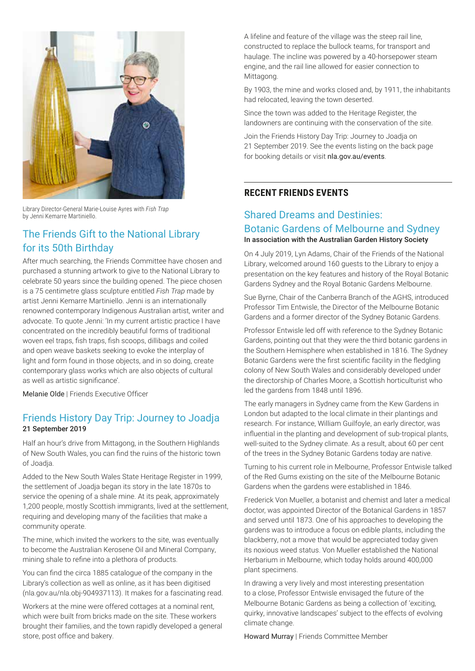

Library Director-General Marie-Louise Ayres with *Fish Trap* by Jenni Kemarre Martiniello.

# The Friends Gift to the National Library for its 50th Birthday

After much searching, the Friends Committee have chosen and purchased a stunning artwork to give to the National Library to celebrate 50 years since the building opened. The piece chosen is a 75 centimetre glass sculpture entitled *Fish Trap* made by artist Jenni Kemarre Martiniello. Jenni is an internationally renowned contemporary Indigenous Australian artist, writer and advocate. To quote Jenni: 'In my current artistic practice I have concentrated on the incredibly beautiful forms of traditional woven eel traps, fish traps, fish scoops, dillibags and coiled and open weave baskets seeking to evoke the interplay of light and form found in those objects, and in so doing, create contemporary glass works which are also objects of cultural as well as artistic significance'.

Melanie Olde | Friends Executive Officer

### Friends History Day Trip: Journey to Joadja 21 September 2019

Half an hour's drive from Mittagong, in the Southern Highlands of New South Wales, you can find the ruins of the historic town of Joadja.

Added to the New South Wales State Heritage Register in 1999, the settlement of Joadja began its story in the late 1870s to service the opening of a shale mine. At its peak, approximately 1,200 people, mostly Scottish immigrants, lived at the settlement, requiring and developing many of the facilities that make a community operate.

The mine, which invited the workers to the site, was eventually to become the Australian Kerosene Oil and Mineral Company, mining shale to refine into a plethora of products.

You can find the circa 1885 catalogue of the company in the Library's collection as well as online, as it has been digitised (nla.gov.au/nla.obj-904937113). It makes for a fascinating read.

Workers at the mine were offered cottages at a nominal rent, which were built from bricks made on the site. These workers brought their families, and the town rapidly developed a general store, post office and bakery.

A lifeline and feature of the village was the steep rail line, constructed to replace the bullock teams, for transport and haulage. The incline was powered by a 40-horsepower steam engine, and the rail line allowed for easier connection to Mittagong.

By 1903, the mine and works closed and, by 1911, the inhabitants had relocated, leaving the town deserted.

Since the town was added to the Heritage Register, the landowners are continuing with the conservation of the site.

Join the Friends History Day Trip: Journey to Joadja on 21 September 2019. See the events listing on the back page for booking details or visit nla.gov.au/events.

#### **RECENT FRIENDS EVENTS**

### Shared Dreams and Destinies:

#### Botanic Gardens of Melbourne and Sydney In association with the Australian Garden History Society

On 4 July 2019, Lyn Adams, Chair of the Friends of the National Library, welcomed around 160 guests to the Library to enjoy a presentation on the key features and history of the Royal Botanic Gardens Sydney and the Royal Botanic Gardens Melbourne.

Sue Byrne, Chair of the Canberra Branch of the AGHS, introduced Professor Tim Entwisle, the Director of the Melbourne Botanic Gardens and a former director of the Sydney Botanic Gardens.

Professor Entwisle led off with reference to the Sydney Botanic Gardens, pointing out that they were the third botanic gardens in the Southern Hemisphere when established in 1816. The Sydney Botanic Gardens were the first scientific facility in the fledgling colony of New South Wales and considerably developed under the directorship of Charles Moore, a Scottish horticulturist who led the gardens from 1848 until 1896.

The early managers in Sydney came from the Kew Gardens in London but adapted to the local climate in their plantings and research. For instance, William Guilfoyle, an early director, was influential in the planting and development of sub-tropical plants, well-suited to the Sydney climate. As a result, about 60 per cent of the trees in the Sydney Botanic Gardens today are native.

Turning to his current role in Melbourne, Professor Entwisle talked of the Red Gums existing on the site of the Melbourne Botanic Gardens when the gardens were established in 1846.

Frederick Von Mueller, a botanist and chemist and later a medical doctor, was appointed Director of the Botanical Gardens in 1857 and served until 1873. One of his approaches to developing the gardens was to introduce a focus on edible plants, including the blackberry, not a move that would be appreciated today given its noxious weed status. Von Mueller established the National Herbarium in Melbourne, which today holds around 400,000 plant specimens.

In drawing a very lively and most interesting presentation to a close, Professor Entwisle envisaged the future of the Melbourne Botanic Gardens as being a collection of 'exciting, quirky, innovative landscapes' subject to the effects of evolving climate change.

Howard Murray | Friends Committee Member